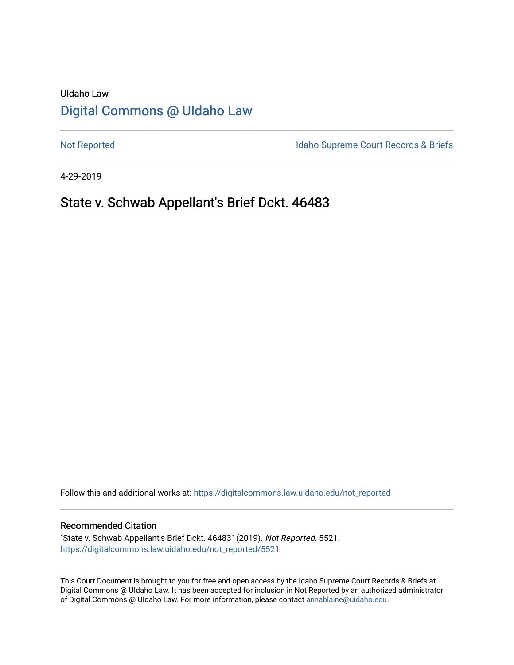# UIdaho Law [Digital Commons @ UIdaho Law](https://digitalcommons.law.uidaho.edu/)

[Not Reported](https://digitalcommons.law.uidaho.edu/not_reported) **Idaho Supreme Court Records & Briefs** 

4-29-2019

# State v. Schwab Appellant's Brief Dckt. 46483

Follow this and additional works at: [https://digitalcommons.law.uidaho.edu/not\\_reported](https://digitalcommons.law.uidaho.edu/not_reported?utm_source=digitalcommons.law.uidaho.edu%2Fnot_reported%2F5521&utm_medium=PDF&utm_campaign=PDFCoverPages) 

## Recommended Citation

"State v. Schwab Appellant's Brief Dckt. 46483" (2019). Not Reported. 5521. [https://digitalcommons.law.uidaho.edu/not\\_reported/5521](https://digitalcommons.law.uidaho.edu/not_reported/5521?utm_source=digitalcommons.law.uidaho.edu%2Fnot_reported%2F5521&utm_medium=PDF&utm_campaign=PDFCoverPages)

This Court Document is brought to you for free and open access by the Idaho Supreme Court Records & Briefs at Digital Commons @ UIdaho Law. It has been accepted for inclusion in Not Reported by an authorized administrator of Digital Commons @ UIdaho Law. For more information, please contact [annablaine@uidaho.edu](mailto:annablaine@uidaho.edu).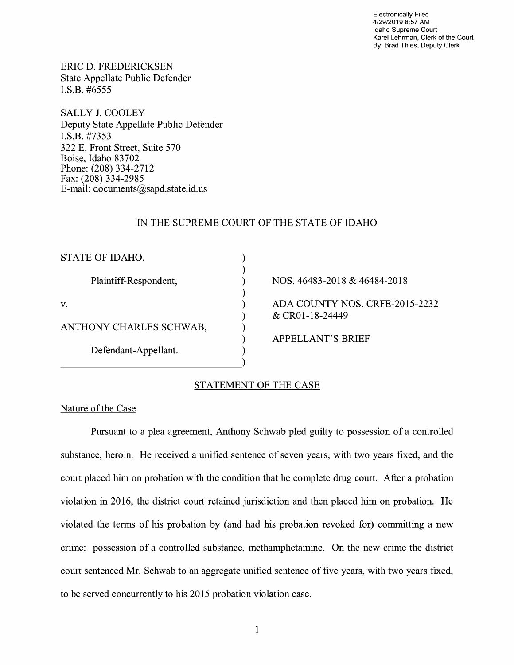Electronically Filed 4/29/2019 8:57 AM Idaho Supreme Court Karel Lehrman, Clerk of the Court By: Brad Thies, Deputy Clerk

ERIC D. FREDERICKSEN State Appellate Public Defender I.S.B. #6555

SALLY J. COOLEY Deputy State Appellate Public Defender **I.S.B.** #7353 322 E. Front Street, Suite 570 Boise, Idaho 83702 Phone: (208) 334-2712 Fax: (208) 334-2985 E-mail: documents@sapd.state.id. us

# IN THE SUPREME COURT OF THE STATE OF IDAHO

) ) ) ) ) ) ) ) )

| STATE OF IDAHO,         |
|-------------------------|
| Plaintiff-Respondent,   |
| $\mathbf{V}$ .          |
| ANTHONY CHARLES SCHWAB, |
| Defendant-Appellant.    |

NOS. 46483-2018 & 46484-2018 ADA COUNTY NOS. CRFE-2015-2232 & CR0l-18-24449

APPELLANT'S BRIEF

# STATEMENT OF THE CASE

## Nature of the Case

Pursuant to a plea agreement, Anthony Schwab pled guilty to possession of a controlled substance, heroin. He received a unified sentence of seven years, with two years fixed, and the court placed him on probation with the condition that he complete drug court. After a probation violation in 2016, the district court retained jurisdiction and then placed him on probation. He violated the terms of his probation by (and had his probation revoked for) committing a new crime: possession of a controlled substance, methamphetamine. On the new crime the district court sentenced Mr. Schwab to an aggregate unified sentence of five years, with two years fixed, to be served concurrently to his 2015 probation violation case.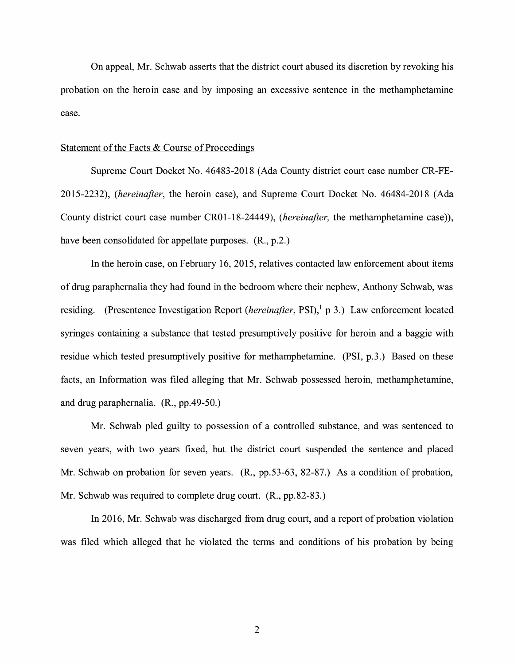On appeal, Mr. Schwab asserts that the district court abused its discretion by revoking his probation on the heroin case and by imposing an excessive sentence in the methamphetamine case.

## Statement of the Facts & Course of Proceedings

Supreme Court Docket No. 46483-2018 (Ada County district court case number CR-FE-2015-2232), *(hereinafter,* the heroin case), and Supreme Court Docket No. 46484-2018 (Ada County district court case number CR0l-18-24449), *(hereinafter,* the methamphetamine case)), have been consolidated for appellate purposes. (R., p.2.)

In the heroin case, on February 16, 2015, relatives contacted law enforcement about items of drug paraphernalia they had found in the bedroom where their nephew, Anthony Schwab, was residing. (Presentence Investigation Report *(hereinafter*, PSI),<sup>1</sup> p 3.) Law enforcement located syringes containing a substance that tested presumptively positive for heroin and a baggie with residue which tested presumptively positive for methamphetamine. (PSI, p.3.) Based on these facts, an Information was filed alleging that Mr. Schwab possessed heroin, methamphetamine, and drug paraphernalia. (R., pp.49-50.)

Mr. Schwab pled guilty to possession of a controlled substance, and was sentenced to seven years, with two years fixed, but the district court suspended the sentence and placed Mr. Schwab on probation for seven years. (R., pp.53-63, 82-87.) As a condition of probation, Mr. Schwab was required to complete drug court. (R., pp.82-83.)

In 2016, Mr. Schwab was discharged from drug court, and a report of probation violation was filed which alleged that he violated the terms and conditions of his probation by being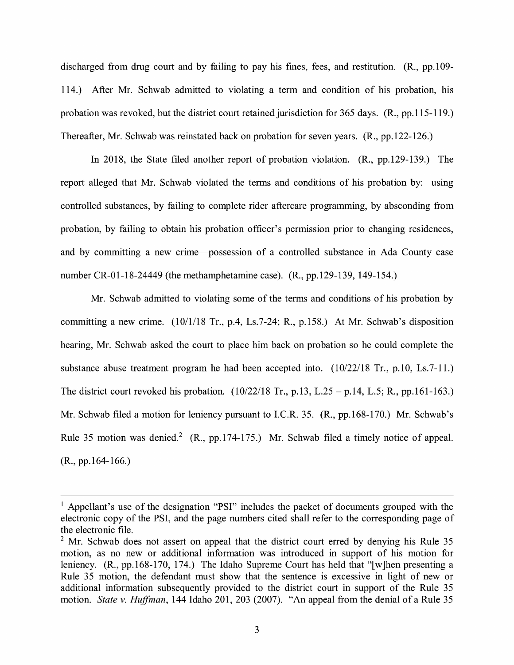discharged from drug court and by failing to pay his fines, fees, and restitution.  $(R_n, pp.109-$ 114.) After Mr. Schwab admitted to violating a term and condition of his probation, his probation was revoked, but the district court retained jurisdiction for 365 days. (R., pp.115-119.) Thereafter, Mr. Schwab was reinstated back on probation for seven years. (R., pp.122-126.)

In 2018, the State filed another report of probation violation. (R., pp.129-139.) The report alleged that Mr. Schwab violated the terms and conditions of his probation by: using controlled substances, by failing to complete rider aftercare programming, by absconding from probation, by failing to obtain his probation officer's permission prior to changing residences, and by committing a new crime-possession of a controlled substance in Ada County case number CR-01-18-24449 (the methamphetamine case). (R., pp.129-139, 149-154.)

Mr. Schwab admitted to violating some of the terms and conditions of his probation by committing a new crime. (10/1/18 Tr., p.4, Ls.7-24; R., p.158.) At Mr. Schwab's disposition hearing, Mr. Schwab asked the court to place him back on probation so he could complete the substance abuse treatment program he had been accepted into. (10/22/18 Tr., p.10, Ls.7-11.) The district court revoked his probation.  $(10/22/18 \text{ Tr.}, p.13, L.25 - p.14, L.5; R., pp.161-163.)$ Mr. Schwab filed a motion for leniency pursuant to I.C.R. 35. (R., pp.168-170.) Mr. Schwab's Rule 35 motion was denied.<sup>2</sup> (R., pp.174-175.) Mr. Schwab filed a timely notice of appeal. (R., pp.164-166.)

<sup>&</sup>lt;sup>1</sup> Appellant's use of the designation "PSI" includes the packet of documents grouped with the electronic copy of the PSI, and the page numbers cited shall refer to the corresponding page of the electronic file.

 $2$  Mr. Schwab does not assert on appeal that the district court erred by denying his Rule 35 motion, as no new or additional information was introduced in support of his motion for leniency. (R., pp.168-170, 174.) The Idaho Supreme Court has held that "[w]hen presenting a Rule 35 motion, the defendant must show that the sentence is excessive in light of new or additional information subsequently provided to the district court in support of the Rule 35 motion. *State v. Huffman,* 144 Idaho 201, 203 (2007). "An appeal from the denial of a Rule 35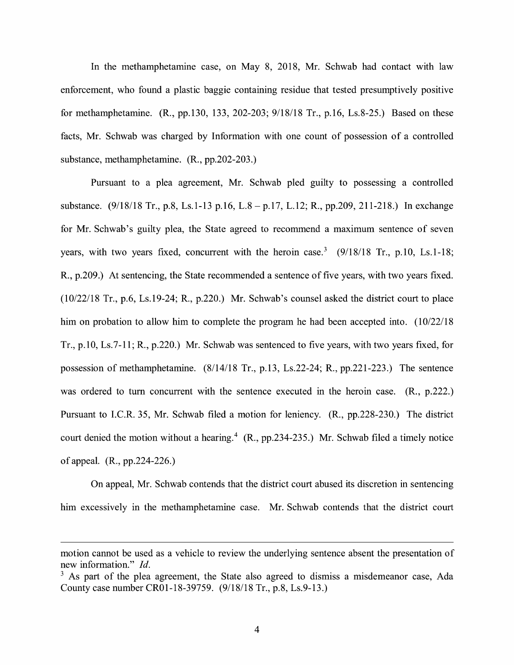In the methamphetamine case, on May 8, 2018, Mr. Schwab had contact with law enforcement, who found a plastic baggie containing residue that tested presumptively positive for methamphetamine. **(R.,** pp.130, 133, 202-203; 9/18/18 Tr., p.16, Ls.8-25.) Based on these facts, Mr. Schwab was charged by Information with one count of possession of a controlled substance, methamphetamine. **(R.,** pp.202-203.)

Pursuant to a plea agreement, Mr. Schwab pled guilty to possessing a controlled substance. (9/18/18 Tr., p.8, Ls.1-13 p.16, L.8 - p.17, L.12; R., pp.209, 211-218.) In exchange for Mr. Schwab's guilty plea, the State agreed to recommend a maximum sentence of seven years, with two years fixed, concurrent with the heroin case.<sup>3</sup> (9/18/18 Tr., p.10, Ls.1-18; **R.,** p.209.) At sentencing, the State recommended a sentence of five years, with two years fixed. (10/22/18 Tr., p.6, Ls.19-24; R., p.220.) Mr. Schwab's counsel asked the district court to place him on probation to allow him to complete the program he had been accepted into. (10/22/18) Tr., p.10, Ls.7-11; R., p.220.) Mr. Schwab was sentenced to five years, with two years fixed, for possession of methamphetamine. (8/14/18 Tr., p.13, Ls.22-24; R., pp.221-223.) The sentence was ordered to tum concurrent with the sentence executed in the heroin case. **(R.,** p.222.) Pursuant to I.C.R. 35, Mr. Schwab filed a motion for leniency. **(R.,** pp.228-230.) The district court denied the motion without a hearing.<sup>4</sup> (R., pp.234-235.) Mr. Schwab filed a timely notice of appeal. (R., pp.224-226.)

On appeal, Mr. Schwab contends that the district court abused its discretion in sentencing him excessively in the methamphetamine case. Mr. Schwab contends that the district court

motion cannot be used as a vehicle to review the underlying sentence absent the presentation of new information." *Id.* 

 $3$  As part of the plea agreement, the State also agreed to dismiss a misdemeanor case, Ada County case number CR0l-18-39759. (9/18/18 Tr., p.8, Ls.9-13.)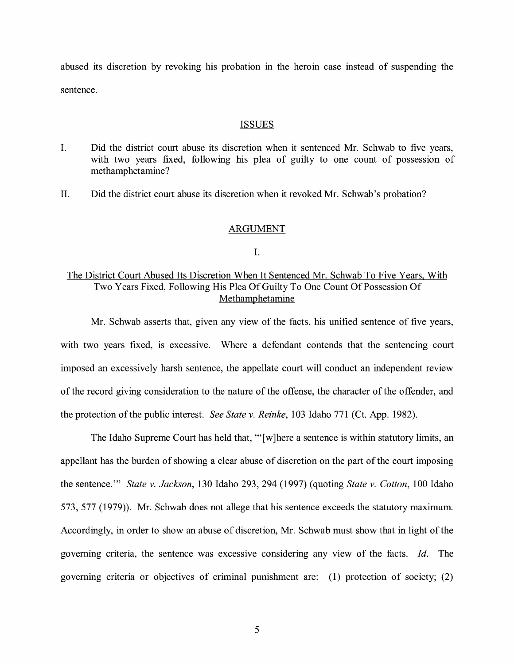abused its discretion by revoking his probation in the heroin case instead of suspending the sentence.

#### ISSUES

- I. Did the district court abuse its discretion when it sentenced Mr. Schwab to five years, with two years fixed, following his plea of guilty to one count of possession of methamphetamine?
- II. Did the district court abuse its discretion when it revoked Mr. Schwab's probation?

## ARGUMENT

#### I.

# The District Court Abused Its Discretion When It Sentenced Mr. Schwab To Five Years, With Two Years Fixed, Following His Plea Of Guilty To One Count Of Possession Of Methamphetamine

Mr. Schwab asserts that, given any view of the facts, his unified sentence of five years, with two years fixed, is excessive. Where a defendant contends that the sentencing court imposed an excessively harsh sentence, the appellate court will conduct an independent review of the record giving consideration to the nature of the offense, the character of the offender, and the protection of the public interest. *See State v. Reinke,* 103 Idaho 771 (Ct. App. 1982).

The Idaho Supreme Court has held that, "'[w] here a sentence is within statutory limits, an appellant has the burden of showing a clear abuse of discretion on the part of the court imposing the sentence."' *State v. Jackson,* 130 Idaho 293, 294 (1997) (quoting *State v. Cotton,* 100 Idaho 573, 577 (1979)). Mr. Schwab does not allege that his sentence exceeds the statutory maximum. Accordingly, in order to show an abuse of discretion, Mr. Schwab must show that in light of the governing criteria, the sentence was excessive considering any view of the facts. *Id.* The governing criteria or objectives of criminal punishment are: (1) protection of society; (2)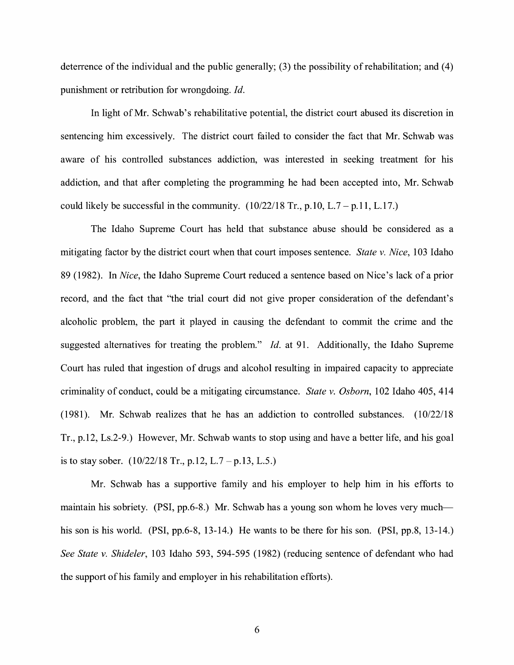deterrence of the individual and the public generally;  $(3)$  the possibility of rehabilitation; and  $(4)$ punishment or retribution for wrongdoing. *Id.* 

In light of Mr. Schwab's rehabilitative potential, the district court abused its discretion in sentencing him excessively. The district court failed to consider the fact that Mr. Schwab was aware of his controlled substances addiction, was interested in seeking treatment for his addiction, and that after completing the programming he had been accepted into, Mr. Schwab could likely be successful in the community.  $(10/22/18 \text{ Tr.}, p.10, L.7 - p.11, L.17.)$ 

The Idaho Supreme Court has held that substance abuse should be considered as a mitigating factor by the district court when that court imposes sentence. *State v. Nice,* 103 Idaho 89 (1982). In *Nice,* the Idaho Supreme Court reduced a sentence based on Nice's lack of a prior record, and the fact that "the trial court did not give proper consideration of the defendant's alcoholic problem, the part it played in causing the defendant to commit the crime and the suggested alternatives for treating the problem." *Id.* at 91. Additionally, the Idaho Supreme Court has ruled that ingestion of drugs and alcohol resulting in impaired capacity to appreciate criminality of conduct, could be a mitigating circumstance. *State v. Osborn,* 102 Idaho 405, 414 (1981). Mr. Schwab realizes that he has an addiction to controlled substances. (10/22/18 Tr., p.12, Ls.2-9.) However, Mr. Schwab wants to stop using and have a better life, and his goal is to stay sober.  $(10/22/18 \text{ Tr}$ , p.12, L.7 – p.13, L.5.)

Mr. Schwab has a supportive family and his employer to help him in his efforts to maintain his sobriety. (PSI, pp.6-8.) Mr. Schwab has a young son whom he loves very muchhis son is his world. (PSI, pp.6-8, 13-14.) He wants to be there for his son. (PSI, pp.8, 13-14.) *See State v. Shideler,* 103 Idaho 593, 594-595 (1982) (reducing sentence of defendant who had the support of his family and employer in his rehabilitation efforts).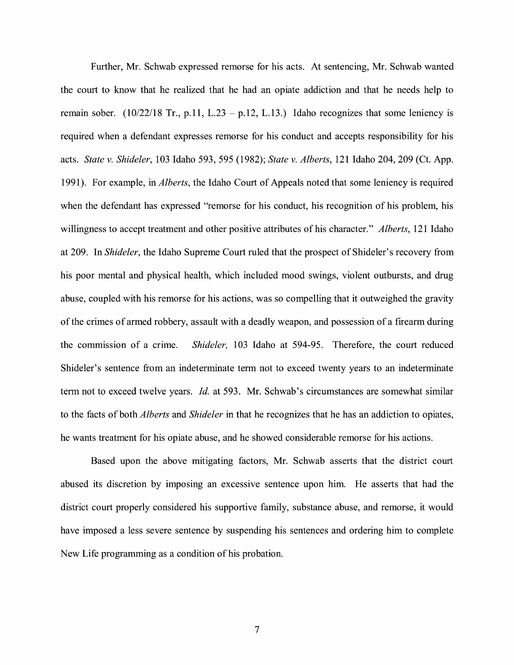Further, Mr. Schwab expressed remorse for his acts. At sentencing, Mr. Schwab wanted the court to know that he realized that he had an opiate addiction and that he needs help to remain sober. (10/22/18 Tr., p.11, L.23 – p.12, L.13.) Idaho recognizes that some leniency is required when a defendant expresses remorse for his conduct and accepts responsibility for his acts. *State v. Shideler,* 103 Idaho 593, 595 (1982); *State v. Alberts,* 121 Idaho 204, 209 (Ct. App. 1991). For example, in *Alberts,* the Idaho Court of Appeals noted that some leniency is required when the defendant has expressed "remorse for his conduct, his recognition of his problem, his willingness to accept treatment and other positive attributes of his character." *Alberts,* 121 Idaho at 209. In *Shideler,* the Idaho Supreme Court ruled that the prospect of Shideler' s recovery from his poor mental and physical health, which included mood swings, violent outbursts, and drug abuse, coupled with his remorse for his actions, was so compelling that it outweighed the gravity of the crimes of armed robbery, assault with a deadly weapon, and possession of a firearm during the commission of a crime. *Shideler,* 103 Idaho at 594-95. Therefore, the court reduced Shideler's sentence from an indeterminate term not to exceed twenty years to an indeterminate term not to exceed twelve years. *Id.* at 593. Mr. Schwab's circumstances are somewhat similar to the facts of both *Alberts* and *Shideler* in that he recognizes that he has an addiction to opiates, he wants treatment for his opiate abuse, and he showed considerable remorse for his actions.

Based upon the above mitigating factors, Mr. Schwab asserts that the district court abused its discretion by imposing an excessive sentence upon him. He asserts that had the district court properly considered his supportive family, substance abuse, and remorse, it would have imposed a less severe sentence by suspending his sentences and ordering him to complete New Life programming as a condition of his probation.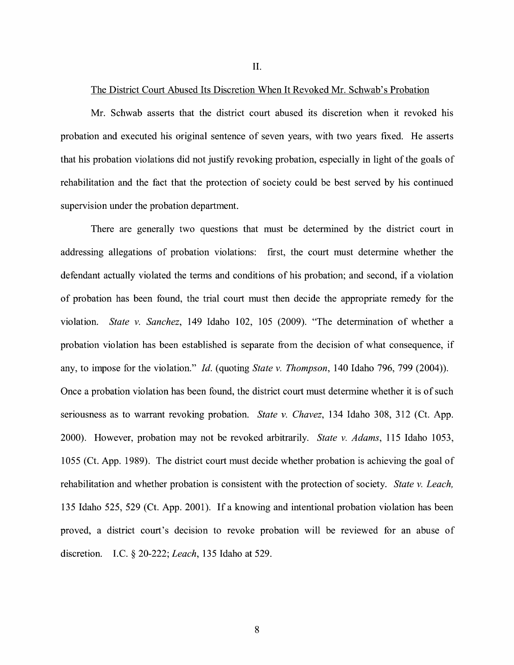II.

### The District Court Abused Its Discretion When It Revoked Mr. Schwab's Probation

Mr. Schwab asserts that the district court abused its discretion when it revoked his probation and executed his original sentence of seven years, with two years fixed. He asserts that his probation violations did not justify revoking probation, especially in light of the goals of rehabilitation and the fact that the protection of society could be best served by his continued supervision under the probation department.

There are generally two questions that must be determined by the district court in addressing allegations of probation violations: first, the court must determine whether the defendant actually violated the terms and conditions of his probation; and second, if a violation of probation has been found, the trial court must then decide the appropriate remedy for the violation. *State v. Sanchez,* 149 Idaho 102, 105 (2009). "The determination of whether a probation violation has been established is separate from the decision of what consequence, if any, to impose for the violation." *Id.* (quoting *State v. Thompson,* 140 Idaho 796, 799 (2004)). Once a probation violation has been found, the district court must determine whether it is of such seriousness as to warrant revoking probation. *State v. Chavez,* 134 Idaho 308, 312 (Ct. App. 2000). However, probation may not be revoked arbitrarily. *State v. Adams,* 115 Idaho 1053, 1055 (Ct. App. 1989). The district court must decide whether probation is achieving the goal of rehabilitation and whether probation is consistent with the protection of society. *State v. Leach,*  135 Idaho 525, 529 (Ct. App. 2001). If a knowing and intentional probation violation has been proved, a district court's decision to revoke probation will be reviewed for an abuse of discretion. LC. § 20-222; *Leach,* 135 Idaho at 529.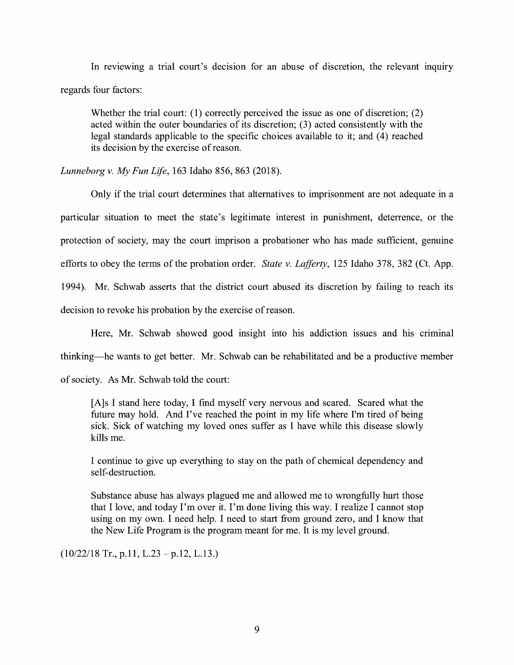In reviewing a trial court's decision for an abuse of discretion, the relevant inquiry regards four factors:

Whether the trial court: (1) correctly perceived the issue as one of discretion;  $(2)$ acted within the outer boundaries of its discretion; (3) acted consistently with the legal standards applicable to the specific choices available to it; and (4) reached its decision by the exercise of reason.

*Lunneborg v. My Fun Life,* 163 Idaho 856, 863 (2018).

Only if the trial court determines that alternatives to imprisonment are not adequate in a particular situation to meet the state's legitimate interest in punishment, deterrence, or the protection of society, may the court imprison a probationer who has made sufficient, genuine efforts to obey the terms of the probation order. *State v. Lafferty,* 125 Idaho 378, 382 (Ct. App. 1994). Mr. Schwab asserts that the district court abused its discretion by failing to reach its

decision to revoke his probation by the exercise of reason.

Here, Mr. Schwab showed good insight into his addiction issues and his criminal

thinking-he wants to get better. Mr. Schwab can be rehabilitated and be a productive member

of society. As Mr. Schwab told the court:

[A] s I stand here today, I find myself very nervous and scared. Scared what the future may hold. And I've reached the point in my life where I'm tired of being sick. Sick of watching my loved ones suffer as I have while this disease slowly kills me.

I continue to give up everything to stay on the path of chemical dependency and self-destruction.

Substance abuse has always plagued me and allowed me to wrongfully hurt those that I love, and today I'm over it. I'm done living this way. I realize I cannot stop using on my own. I need help. I need to start from ground zero, and I know that the New Life Program is the program meant for me. It is my level ground.

 $(10/22/18$  Tr., p.11, L.23 – p.12, L.13.)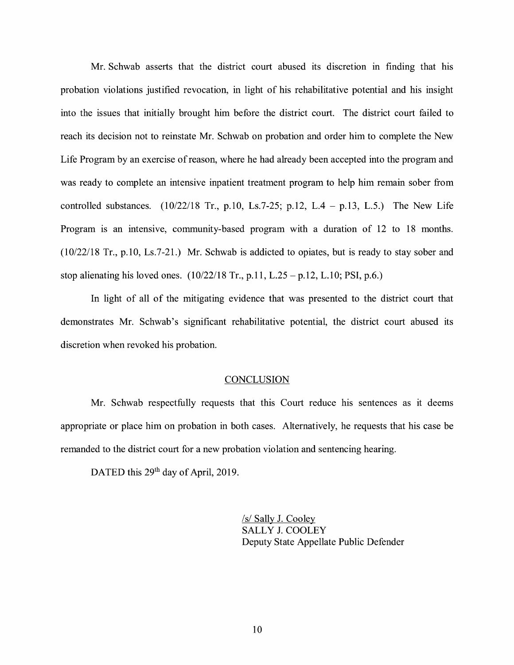Mr. Schwab asserts that the district court abused its discretion in finding that his probation violations justified revocation, in light of his rehabilitative potential and his insight into the issues that initially brought him before the district court. The district court failed to reach its decision not to reinstate Mr. Schwab on probation and order him to complete the New Life Program by an exercise of reason, where he had already been accepted into the program and was ready to complete an intensive inpatient treatment program to help him remain sober from controlled substances.  $(10/22/18$  Tr., p.10, Ls.7-25; p.12, L.4 - p.13, L.5.) The New Life Program is an intensive, community-based program with a duration of 12 to 18 months. (10/22/18 Tr., p.10, Ls.7-21.) Mr. Schwab is addicted to opiates, but is ready to stay sober and stop alienating his loved ones.  $(10/22/18 \text{ Tr.}, p.11, L.25 - p.12, L.10; PSI, p.6.)$ 

In light of all of the mitigating evidence that was presented to the district court that demonstrates Mr. Schwab's significant rehabilitative potential, the district court abused its discretion when revoked his probation.

## **CONCLUSION**

Mr. Schwab respectfully requests that this Court reduce his sentences as it deems appropriate or place him on probation in both cases. Alternatively, he requests that his case be remanded to the district court for a new probation violation and sentencing hearing.

DATED this 29<sup>th</sup> day of April, 2019.

/s/ Sally J. Cooley SALLY J. COOLEY Deputy State Appellate Public Defender